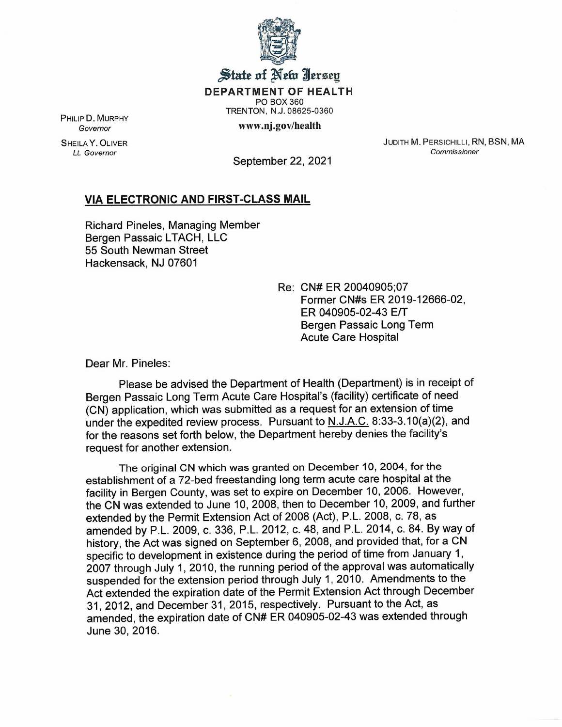

## State of New Jersey

DEPARTMENT OF HEALTH

PO BOX 360 TRENTON, N.J. 08625-0360

www.nj.gov/health

PHILIP D. MURPHY *Governor*

SHEILA Y. OLIVER *Lt. Governor*

JUDITH M. PERSICHILLI, RN, BSN, MA *Commissioner*

September 22, 2021

## VIA ELECTRONIC AND FIRST-CLASS MAIL

Richard Pineles, Managing Member Bergen Passaic LTACH, LLC 55 South Newman Street Hackensack, NJ 07601

> Re: CN# ER 20040905;07 Former CN#s ER 2019-12666-02, ER 040905-02-43 EfT Bergen Passaic Long Term Acute Care Hospital

Dear Mr. Pineles:

Please be advised the Department of Health (Department) is in receipt of Bergen Passaic Long Term Acute Care Hospital's (facility) certificate of need (CN) application, which was submitted as a request for an extension of time under the expedited review process. Pursuant to N.J.A.C. 8:33-3.1 0(a)(2), and for the reasons set forth below, the Department hereby denies the facility's request for another extension.

The original CN which was granted on December 10, 2004, for the establishment of a 72-bed freestanding long term acute care hospital at the facility in Bergen County, was set to expire on December 10, 2006. However, the CN was extended to June 10, 2008, then to December 10, 2009, and further extended by the Permit Extension Act of 2008 (Act), P.L. 2008, c. 78, as amended by P.L. 2009, c. 336, P.L. 2012, c. 48, and P.L. 2014, c. 84. By way of history, the Act was signed on September 6,2008, and provided that, for a CN specific to development in existence during the period of time from January 1, 2007 through July 1, 2010, the running period of the approval was automatically suspended for the extension period through July 1, 2010. Amendments to the Act extended the expiration date of the Permit Extension Act through December 31,2012, and December 31, 2015, respectively. Pursuant to the Act, as amended, the expiration date of CN# ER 040905-02-43 was extended through June 30,2016.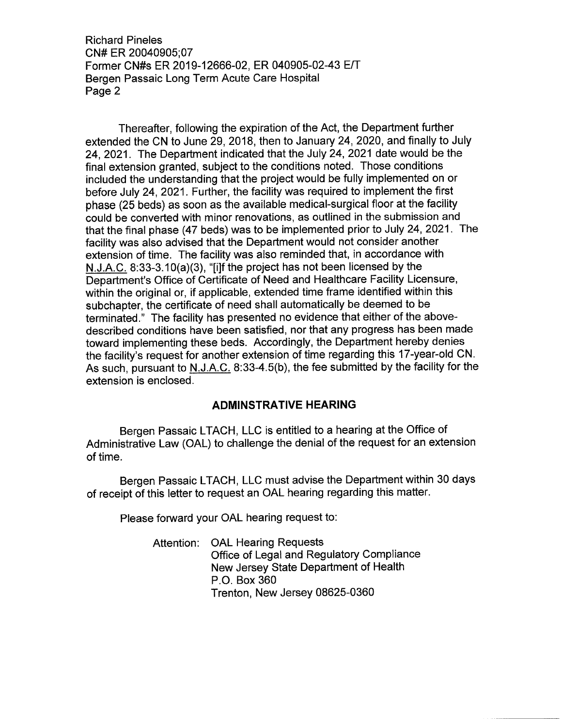Richard Pineles CN# ER 20040905;07 Former CN#s ER 2019-12666-02, ER 040905-02-43 E/T Bergen Passaic Long Term Acute Care Hospital Page 2

Thereafter, following the expiration of the Act, the Department further extended the CN to June 29, 2018, then to January 24, 2020, and finally to July 24, 2021. The Department indicated that the July 24, 2021 date would be the final extension granted, subject to the conditions noted. Those conditions included the understanding that the project would be fully implemented on or before July 24,2021. Further, the facility was required to implement the first phase (25 beds) as soon as the available medical-surgical floor at the facility could be converted with minor renovations, as outlined in the submission and that the final phase (47 beds) was to be implemented prior to July 24, 2021. The facility was also advised that the Department would not consider another extension of time. The facility was also reminded that, in accordance with N.J.A.C. 8:33-3.10(a)(3), "[i]f the project has not been licensed by the Department's Office of Certificate of Need and Healthcare Facility Licensure, within the original or, if applicable, extended time frame identified within this subchapter, the certificate of need shall automatically be deemed to be terminated." The facility has presented no evidence that either of the abovedescribed conditions have been satisfied, nor that any progress has been made toward implementing these beds. Accordingly, the Department hereby denies the facility's request for another extension of time regarding this 17-year-old CN. As such, pursuant to N.J.A.C. 8:33-4.5(b), the fee submitted by the facility for the extension is enclosed.

## **ADMINSTRATIVE HEARING**

Bergen Passaic LTACH, LLC is entitled to a hearing at the Office of Administrative Law (OAL) to challenge the denial of the request for an extension of time.

Bergen Passaic LTACH, LLC must advise the Department within 30 days of receipt of this letter to request an OAL hearing regarding this matter.

Please forward your OAL hearing request to:

Attention: OAL Hearing Requests Office of Legal and Regulatory Compliance New Jersey State Department of Health P.O. Box 360 Trenton, New Jersey 08625-0360